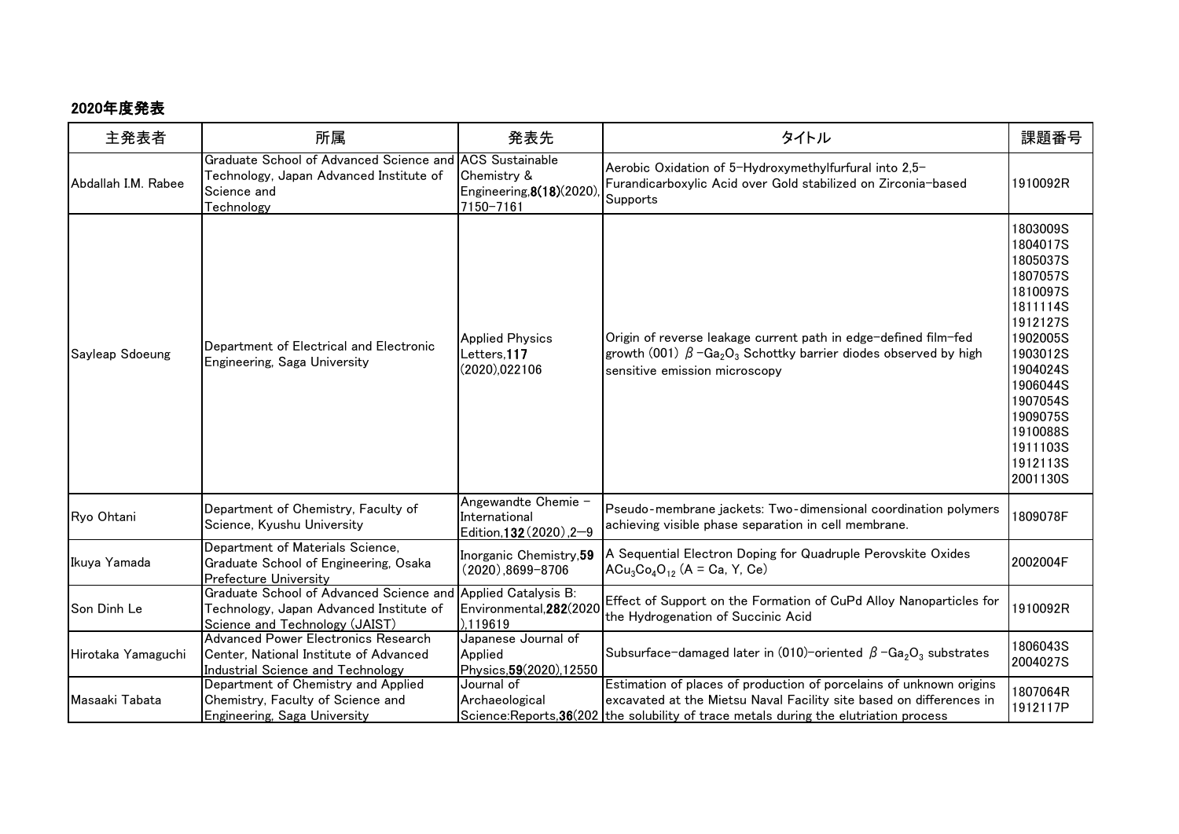## 2020年度発表

| 主発表者                | 所属                                                                                                                        | 発表先                                                                            | タイトル                                                                                                                                                                                                                                   | 課題番号                                                                                                                                                                                                     |
|---------------------|---------------------------------------------------------------------------------------------------------------------------|--------------------------------------------------------------------------------|----------------------------------------------------------------------------------------------------------------------------------------------------------------------------------------------------------------------------------------|----------------------------------------------------------------------------------------------------------------------------------------------------------------------------------------------------------|
| Abdallah I.M. Rabee | Graduate School of Advanced Science and<br>Technology, Japan Advanced Institute of<br>Science and<br>Technology           | <b>ACS Sustainable</b><br>Chemistry &<br>Engineering, 8(18)(2020)<br>7150-7161 | Aerobic Oxidation of 5-Hydroxymethylfurfural into 2,5-<br>Furandicarboxylic Acid over Gold stabilized on Zirconia-based<br>Supports                                                                                                    | 1910092R                                                                                                                                                                                                 |
| Sayleap Sdoeung     | Department of Electrical and Electronic<br>Engineering, Saga University                                                   | <b>Applied Physics</b><br>Letters, 117<br>(2020),022106                        | Origin of reverse leakage current path in edge-defined film-fed<br>growth (001) $\beta$ -Ga <sub>2</sub> O <sub>3</sub> Schottky barrier diodes observed by high<br>sensitive emission microscopy                                      | 1803009S<br>1804017S<br>1805037S<br>1807057S<br>1810097S<br>1811114S<br>1912127S<br>1902005S<br>1903012S<br>1904024S<br>1906044S<br>1907054S<br>1909075S<br>1910088S<br>1911103S<br>1912113S<br>2001130S |
| Ryo Ohtani          | Department of Chemistry, Faculty of<br>Science, Kyushu University                                                         | Angewandte Chemie -<br>International<br>Edition, 132 (2020), 2-9               | Pseudo-membrane jackets: Two-dimensional coordination polymers<br>achieving visible phase separation in cell membrane.                                                                                                                 | 1809078F                                                                                                                                                                                                 |
| Ikuya Yamada        | Department of Materials Science,<br>Graduate School of Engineering, Osaka<br><b>Prefecture University</b>                 | Inorganic Chemistry, 59<br>$(2020), 8699 - 8706$                               | A Sequential Electron Doping for Quadruple Perovskite Oxides<br>$ACu_3Co_4O_{12}$ (A = Ca, Y, Ce)                                                                                                                                      | 2002004F                                                                                                                                                                                                 |
| Son Dinh Le         | Graduate School of Advanced Science and<br>Technology, Japan Advanced Institute of<br>Science and Technology (JAIST)      | <b>Applied Catalysis B:</b><br>Environmental, 282(2020<br>).119619             | Effect of Support on the Formation of CuPd Alloy Nanoparticles for<br>the Hydrogenation of Succinic Acid                                                                                                                               | 1910092R                                                                                                                                                                                                 |
| Hirotaka Yamaguchi  | Advanced Power Electronics Research<br>Center, National Institute of Advanced<br><b>Industrial Science and Technology</b> | Japanese Journal of<br>Applied<br>Physics, 59(2020), 12550                     | Subsurface-damaged later in (010)-oriented $\beta$ -Ga <sub>2</sub> O <sub>3</sub> substrates                                                                                                                                          | 1806043S<br>2004027S                                                                                                                                                                                     |
| Masaaki Tabata      | Department of Chemistry and Applied<br>Chemistry, Faculty of Science and<br>Engineering, Saga University                  | Journal of<br>Archaeological                                                   | Estimation of places of production of porcelains of unknown origins<br>excavated at the Mietsu Naval Facility site based on differences in<br>Science: Reports, 36(202   the solubility of trace metals during the elutriation process | 1807064R<br>1912117P                                                                                                                                                                                     |